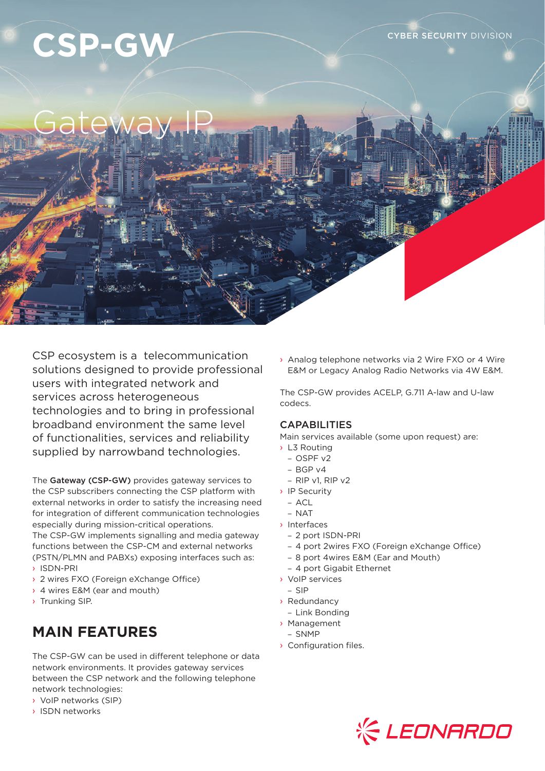# CSP-GW **CONTROLLER SECURITY DIVISION**

## Gateway IP

CSP ecosystem is a telecommunication solutions designed to provide professional users with integrated network and services across heterogeneous technologies and to bring in professional broadband environment the same level of functionalities, services and reliability supplied by narrowband technologies.

The Gateway (CSP-GW) provides gateway services to the CSP subscribers connecting the CSP platform with external networks in order to satisfy the increasing need for integration of different communication technologies especially during mission-critical operations.

The CSP-GW implements signalling and media gateway functions between the CSP-CM and external networks (PSTN/PLMN and PABXs) exposing interfaces such as:

- › ISDN-PRI
- › 2 wires FXO (Foreign eXchange Office)
- › 4 wires E&M (ear and mouth)
- › Trunking SIP.

## **MAIN FEATURES**

The CSP-GW can be used in different telephone or data network environments. It provides gateway services between the CSP network and the following telephone network technologies:

- › VoIP networks (SIP)
- › ISDN networks

› Analog telephone networks via 2 Wire FXO or 4 Wire E&M or Legacy Analog Radio Networks via 4W E&M.

The CSP-GW provides ACELP, G.711 A-law and U-law codecs.

## **CAPABILITIES**

Main services available (some upon request) are:

- › L3 Routing
	- OSPF v2
	- BGP v4
	- RIP v1, RIP v2
- › IP Security
- ACL
- $-$  NAT
- › Interfaces
	- 2 port ISDN-PRI
	- 4 port 2wires FXO (Foreign eXchange Office)
	- 8 port 4wires E&M (Ear and Mouth)
	- 4 port Gigabit Ethernet
- › VoIP services
- SIP
- › Redundancy
- Link Bonding
- › Management
- SNMP
- › Configuration files.